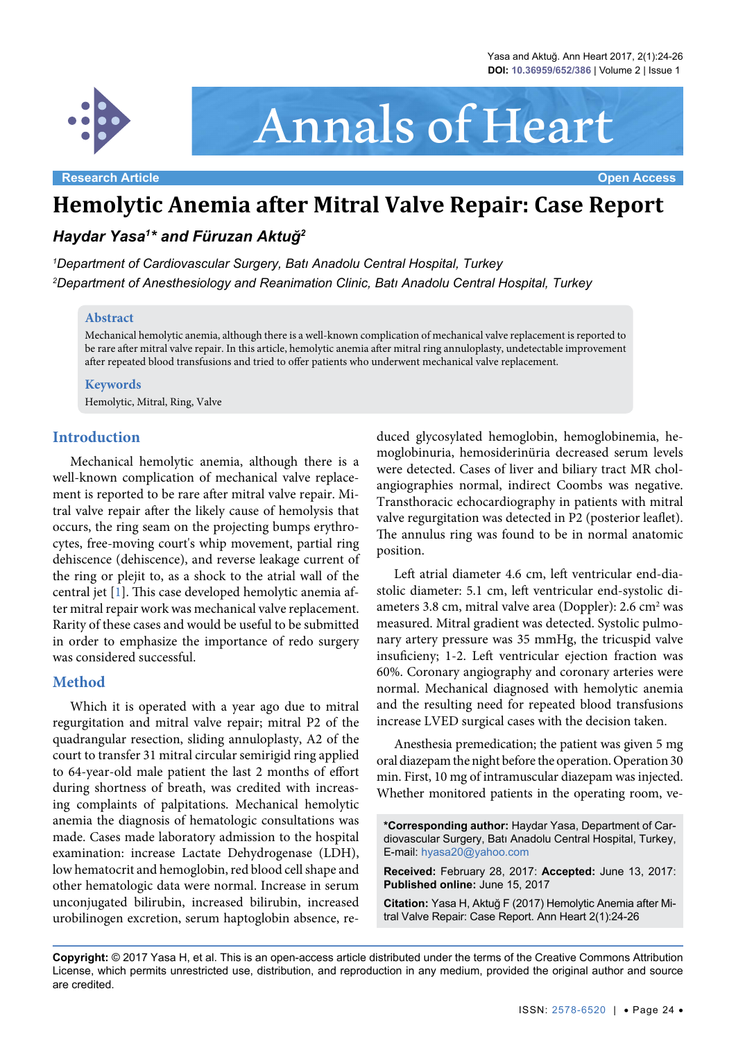

# Annals of Heart

# **Hemolytic Anemia after Mitral Valve Repair: Case Report**

# *Haydar Yasa1 \* and Füruzan Aktuğ<sup>2</sup>*

*1 Department of Cardiovascular Surgery, Batı Anadolu Central Hospital, Turkey 2 Department of Anesthesiology and Reanimation Clinic, Batı Anadolu Central Hospital, Turkey*

#### **Abstract**

Mechanical hemolytic anemia, although there is a well-known complication of mechanical valve replacement is reported to be rare after mitral valve repair. In this article, hemolytic anemia after mitral ring annuloplasty, undetectable improvement after repeated blood transfusions and tried to offer patients who underwent mechanical valve replacement.

#### **Keywords**

Hemolytic, Mitral, Ring, Valve

#### **Introduction**

Mechanical hemolytic anemia, although there is a well-known complication of mechanical valve replacement is reported to be rare after mitral valve repair. Mitral valve repair after the likely cause of hemolysis that occurs, the ring seam on the projecting bumps erythrocytes, free-moving court's whip movement, partial ring dehiscence (dehiscence), and reverse leakage current of the ring or plejit to, as a shock to the atrial wall of the central jet [[1](#page-2-0)]. This case developed hemolytic anemia after mitral repair work was mechanical valve replacement. Rarity of these cases and would be useful to be submitted in order to emphasize the importance of redo surgery was considered successful.

## **Method**

Which it is operated with a year ago due to mitral regurgitation and mitral valve repair; mitral P2 of the quadrangular resection, sliding annuloplasty, A2 of the court to transfer 31 mitral circular semirigid ring applied to 64-year-old male patient the last 2 months of effort during shortness of breath, was credited with increasing complaints of palpitations. Mechanical hemolytic anemia the diagnosis of hematologic consultations was made. Cases made laboratory admission to the hospital examination: increase Lactate Dehydrogenase (LDH), low hematocrit and hemoglobin, red blood cell shape and other hematologic data were normal. Increase in serum unconjugated bilirubin, increased bilirubin, increased urobilinogen excretion, serum haptoglobin absence, re-

duced glycosylated hemoglobin, hemoglobinemia, hemoglobinuria, hemosiderinüria decreased serum levels were detected. Cases of liver and biliary tract MR cholangiographies normal, indirect Coombs was negative. Transthoracic echocardiography in patients with mitral valve regurgitation was detected in P2 (posterior leaflet). The annulus ring was found to be in normal anatomic position.

Left atrial diameter 4.6 cm, left ventricular end-diastolic diameter: 5.1 cm, left ventricular end-systolic diameters 3.8 cm, mitral valve area (Doppler): 2.6 cm<sup>2</sup> was measured. Mitral gradient was detected. Systolic pulmonary artery pressure was 35 mmHg, the tricuspid valve insuficieny; 1-2. Left ventricular ejection fraction was 60%. Coronary angiography and coronary arteries were normal. Mechanical diagnosed with hemolytic anemia and the resulting need for repeated blood transfusions increase LVED surgical cases with the decision taken.

Anesthesia premedication; the patient was given 5 mg oral diazepam the night before the operation. Operation 30 min. First, 10 mg of intramuscular diazepam was injected. Whether monitored patients in the operating room, ve-

**Received:** February 28, 2017: **Accepted:** June 13, 2017: **Published online:** June 15, 2017

**Citation:** Yasa H, Aktuğ F (2017) Hemolytic Anemia after Mitral Valve Repair: Case Report. Ann Heart 2(1):24-26

**Copyright:** © 2017 Yasa H, et al. This is an open-access article distributed under the terms of the Creative Commons Attribution License, which permits unrestricted use, distribution, and reproduction in any medium, provided the original author and source are credited.

**<sup>\*</sup>Corresponding author:** Haydar Yasa, Department of Cardiovascular Surgery, Batı Anadolu Central Hospital, Turkey, E-mail: hyasa20@yahoo.com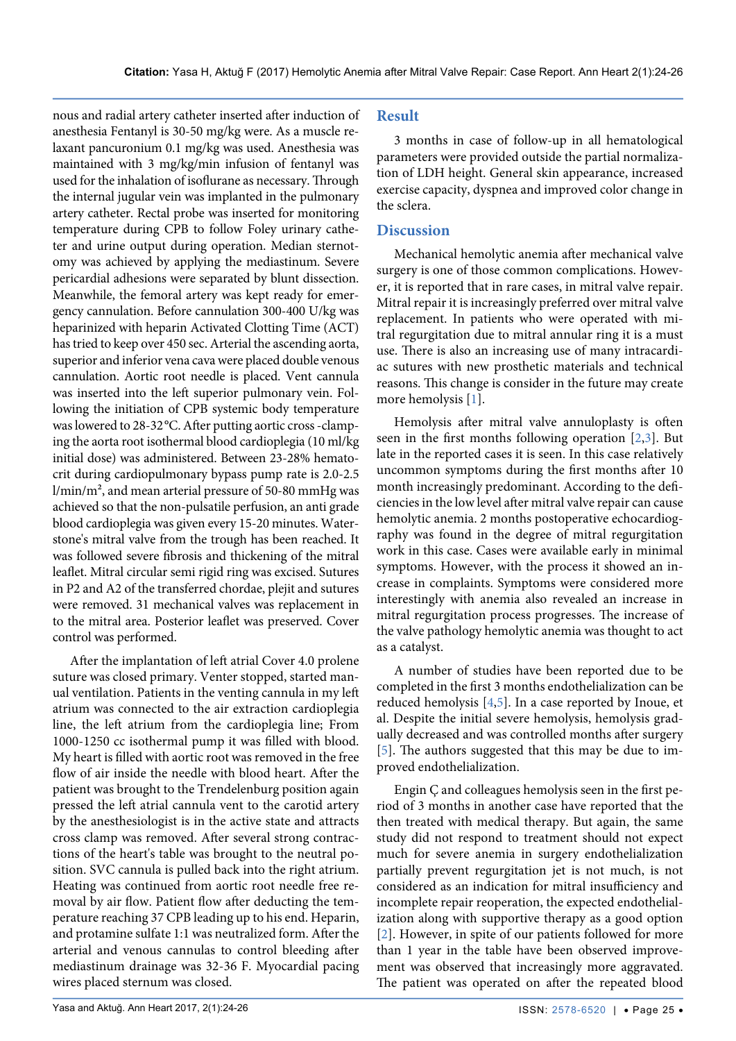nous and radial artery catheter inserted after induction of anesthesia Fentanyl is 30-50 mg/kg were. As a muscle relaxant pancuronium 0.1 mg/kg was used. Anesthesia was maintained with 3 mg/kg/min infusion of fentanyl was used for the inhalation of isoflurane as necessary. Through the internal jugular vein was implanted in the pulmonary artery catheter. Rectal probe was inserted for monitoring temperature during CPB to follow Foley urinary catheter and urine output during operation. Median sternotomy was achieved by applying the mediastinum. Severe pericardial adhesions were separated by blunt dissection. Meanwhile, the femoral artery was kept ready for emergency cannulation. Before cannulation 300-400 U/kg was heparinized with heparin Activated Clotting Time (ACT) has tried to keep over 450 sec. Arterial the ascending aorta, superior and inferior vena cava were placed double venous cannulation. Aortic root needle is placed. Vent cannula was inserted into the left superior pulmonary vein. Following the initiation of CPB systemic body temperature was lowered to 28-32°C. After putting aortic cross -clamping the aorta root isothermal blood cardioplegia (10 ml/kg initial dose) was administered. Between 23-28% hematocrit during cardiopulmonary bypass pump rate is 2.0-2.5 l/min/m², and mean arterial pressure of 50-80 mmHg was achieved so that the non-pulsatile perfusion, an anti grade blood cardioplegia was given every 15-20 minutes. Waterstone's mitral valve from the trough has been reached. It was followed severe fibrosis and thickening of the mitral leaflet. Mitral circular semi rigid ring was excised. Sutures in P2 and A2 of the transferred chordae, plejit and sutures were removed. 31 mechanical valves was replacement in to the mitral area. Posterior leaflet was preserved. Cover control was performed.

After the implantation of left atrial Cover 4.0 prolene suture was closed primary. Venter stopped, started manual ventilation. Patients in the venting cannula in my left atrium was connected to the air extraction cardioplegia line, the left atrium from the cardioplegia line; From 1000-1250 cc isothermal pump it was filled with blood. My heart is filled with aortic root was removed in the free flow of air inside the needle with blood heart. After the patient was brought to the Trendelenburg position again pressed the left atrial cannula vent to the carotid artery by the anesthesiologist is in the active state and attracts cross clamp was removed. After several strong contractions of the heart's table was brought to the neutral position. SVC cannula is pulled back into the right atrium. Heating was continued from aortic root needle free removal by air flow. Patient flow after deducting the temperature reaching 37 CPB leading up to his end. Heparin, and protamine sulfate 1:1 was neutralized form. After the arterial and venous cannulas to control bleeding after mediastinum drainage was 32-36 F. Myocardial pacing wires placed sternum was closed.

## **Result**

3 months in case of follow-up in all hematological parameters were provided outside the partial normalization of LDH height. General skin appearance, increased exercise capacity, dyspnea and improved color change in the sclera.

## **Discussion**

Mechanical hemolytic anemia after mechanical valve surgery is one of those common complications. However, it is reported that in rare cases, in mitral valve repair. Mitral repair it is increasingly preferred over mitral valve replacement. In patients who were operated with mitral regurgitation due to mitral annular ring it is a must use. There is also an increasing use of many intracardiac sutures with new prosthetic materials and technical reasons. This change is consider in the future may create more hemolysis [[1](#page-2-0)].

Hemolysis after mitral valve annuloplasty is often seen in the first months following operation [[2](#page-2-1),[3\]](#page-2-2). But late in the reported cases it is seen. In this case relatively uncommon symptoms during the first months after 10 month increasingly predominant. According to the deficiencies in the low level after mitral valve repair can cause hemolytic anemia. 2 months postoperative echocardiography was found in the degree of mitral regurgitation work in this case. Cases were available early in minimal symptoms. However, with the process it showed an increase in complaints. Symptoms were considered more interestingly with anemia also revealed an increase in mitral regurgitation process progresses. The increase of the valve pathology hemolytic anemia was thought to act as a catalyst.

A number of studies have been reported due to be completed in the first 3 months endothelialization can be reduced hemolysis [\[4](#page-2-3),[5](#page-2-4)]. In a case reported by Inoue, et al. Despite the initial severe hemolysis, hemolysis gradually decreased and was controlled months after surgery [[5\]](#page-2-4). The authors suggested that this may be due to improved endothelialization.

Engin Ç and colleagues hemolysis seen in the first period of 3 months in another case have reported that the then treated with medical therapy. But again, the same study did not respond to treatment should not expect much for severe anemia in surgery endothelialization partially prevent regurgitation jet is not much, is not considered as an indication for mitral insufficiency and incomplete repair reoperation, the expected endothelialization along with supportive therapy as a good option [[2\]](#page-2-1). However, in spite of our patients followed for more than 1 year in the table have been observed improvement was observed that increasingly more aggravated. The patient was operated on after the repeated blood